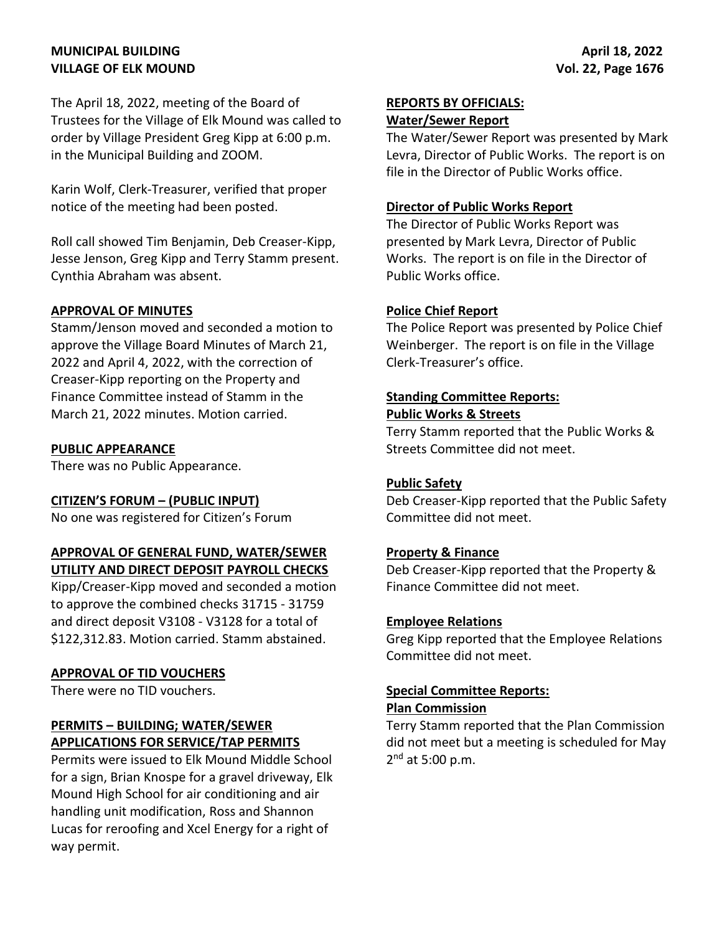# **MUNICIPAL BUILDING VILLAGE OF ELK MOUND**

The April 18, 2022, meeting of the Board of Trustees for the Village of Elk Mound was called to order by Village President Greg Kipp at 6:00 p.m. in the Municipal Building and ZOOM.

Karin Wolf, Clerk-Treasurer, verified that proper notice of the meeting had been posted.

Roll call showed Tim Benjamin, Deb Creaser-Kipp, Jesse Jenson, Greg Kipp and Terry Stamm present. Cynthia Abraham was absent.

### **APPROVAL OF MINUTES**

Stamm/Jenson moved and seconded a motion to approve the Village Board Minutes of March 21, 2022 and April 4, 2022, with the correction of Creaser-Kipp reporting on the Property and Finance Committee instead of Stamm in the March 21, 2022 minutes. Motion carried.

#### **PUBLIC APPEARANCE**

There was no Public Appearance.

#### **CITIZEN'S FORUM – (PUBLIC INPUT)**

No one was registered for Citizen's Forum

## **APPROVAL OF GENERAL FUND, WATER/SEWER UTILITY AND DIRECT DEPOSIT PAYROLL CHECKS**

Kipp/Creaser-Kipp moved and seconded a motion to approve the combined checks 31715 - 31759 and direct deposit V3108 - V3128 for a total of \$122,312.83. Motion carried. Stamm abstained.

#### **APPROVAL OF TID VOUCHERS**

There were no TID vouchers.

## **PERMITS – BUILDING; WATER/SEWER APPLICATIONS FOR SERVICE/TAP PERMITS**

Permits were issued to Elk Mound Middle School for a sign, Brian Knospe for a gravel driveway, Elk Mound High School for air conditioning and air handling unit modification, Ross and Shannon Lucas for reroofing and Xcel Energy for a right of way permit.

#### **REPORTS BY OFFICIALS: Water/Sewer Report**

The Water/Sewer Report was presented by Mark Levra, Director of Public Works. The report is on file in the Director of Public Works office.

# **Director of Public Works Report**

The Director of Public Works Report was presented by Mark Levra, Director of Public Works. The report is on file in the Director of Public Works office.

#### **Police Chief Report**

The Police Report was presented by Police Chief Weinberger. The report is on file in the Village Clerk-Treasurer's office.

### **Standing Committee Reports: Public Works & Streets**

Terry Stamm reported that the Public Works & Streets Committee did not meet.

## **Public Safety**

Deb Creaser-Kipp reported that the Public Safety Committee did not meet.

## **Property & Finance**

Deb Creaser-Kipp reported that the Property & Finance Committee did not meet.

#### **Employee Relations**

Greg Kipp reported that the Employee Relations Committee did not meet.

## **Special Committee Reports:**

#### **Plan Commission**

Terry Stamm reported that the Plan Commission did not meet but a meeting is scheduled for May 2<sup>nd</sup> at 5:00 p.m.